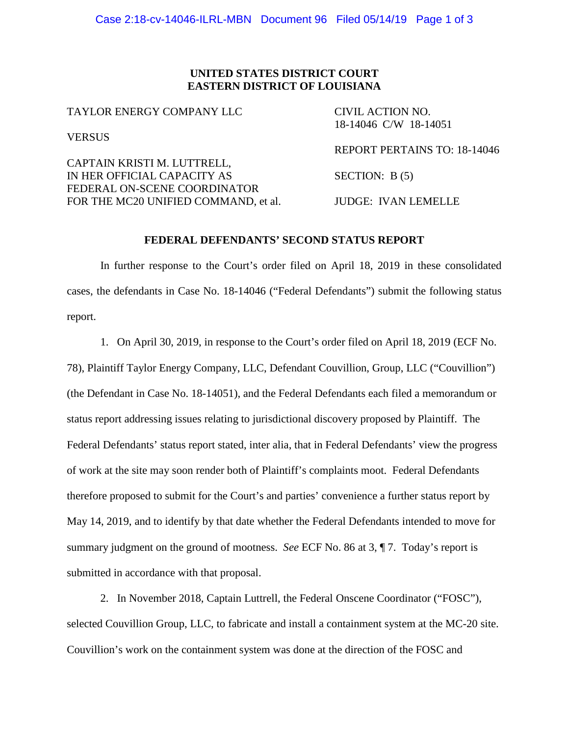## **UNITED STATES DISTRICT COURT EASTERN DISTRICT OF LOUISIANA**

TAYLOR ENERGY COMPANY LLC CIVIL ACTION NO.

18-14046 C/W 18-14051

VERSUS

CAPTAIN KRISTI M. LUTTRELL, IN HER OFFICIAL CAPACITY AS SECTION: B (5) FEDERAL ON-SCENE COORDINATOR FOR THE MC20 UNIFIED COMMAND, et al. **JUDGE:** IVAN LEMELLE

REPORT PERTAINS TO: 18-14046

## **FEDERAL DEFENDANTS' SECOND STATUS REPORT**

In further response to the Court's order filed on April 18, 2019 in these consolidated cases, the defendants in Case No. 18-14046 ("Federal Defendants") submit the following status report.

1. On April 30, 2019, in response to the Court's order filed on April 18, 2019 (ECF No. 78), Plaintiff Taylor Energy Company, LLC, Defendant Couvillion, Group, LLC ("Couvillion") (the Defendant in Case No. 18-14051), and the Federal Defendants each filed a memorandum or status report addressing issues relating to jurisdictional discovery proposed by Plaintiff. The Federal Defendants' status report stated, inter alia, that in Federal Defendants' view the progress of work at the site may soon render both of Plaintiff's complaints moot. Federal Defendants therefore proposed to submit for the Court's and parties' convenience a further status report by May 14, 2019, and to identify by that date whether the Federal Defendants intended to move for summary judgment on the ground of mootness. *See* ECF No. 86 at 3, ¶ 7. Today's report is submitted in accordance with that proposal.

2. In November 2018, Captain Luttrell, the Federal Onscene Coordinator ("FOSC"), selected Couvillion Group, LLC, to fabricate and install a containment system at the MC-20 site. Couvillion's work on the containment system was done at the direction of the FOSC and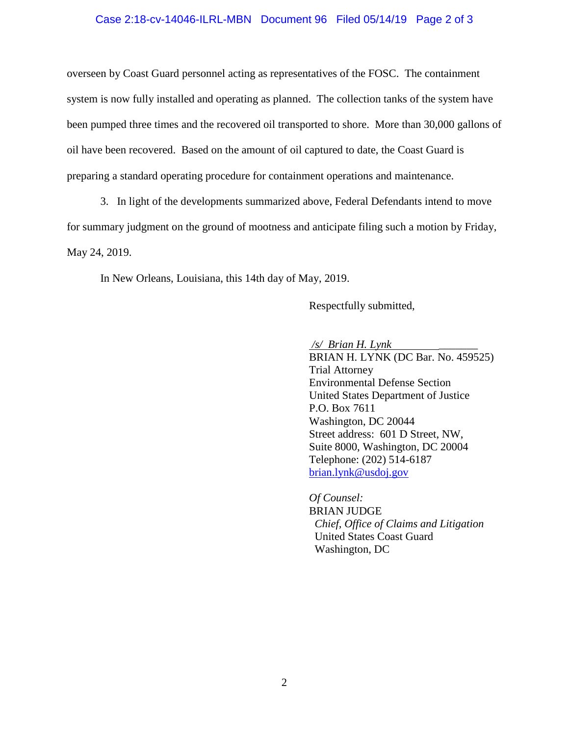## Case 2:18-cv-14046-ILRL-MBN Document 96 Filed 05/14/19 Page 2 of 3

overseen by Coast Guard personnel acting as representatives of the FOSC. The containment system is now fully installed and operating as planned. The collection tanks of the system have been pumped three times and the recovered oil transported to shore. More than 30,000 gallons of oil have been recovered. Based on the amount of oil captured to date, the Coast Guard is preparing a standard operating procedure for containment operations and maintenance.

3. In light of the developments summarized above, Federal Defendants intend to move for summary judgment on the ground of mootness and anticipate filing such a motion by Friday, May 24, 2019.

In New Orleans, Louisiana, this 14th day of May, 2019.

Respectfully submitted,

 $/s/$  Brian H. Lynk BRIAN H. LYNK (DC Bar. No. 459525) Trial Attorney Environmental Defense Section United States Department of Justice P.O. Box 7611 Washington, DC 20044 Street address: 601 D Street, NW, Suite 8000, Washington, DC 20004 Telephone: (202) 514-6187 [brian.lynk@usdoj.gov](mailto:brian.lynk@usdoj.gov)

*Of Counsel:* BRIAN JUDGE  *Chief, Office of Claims and Litigation* United States Coast Guard Washington, DC